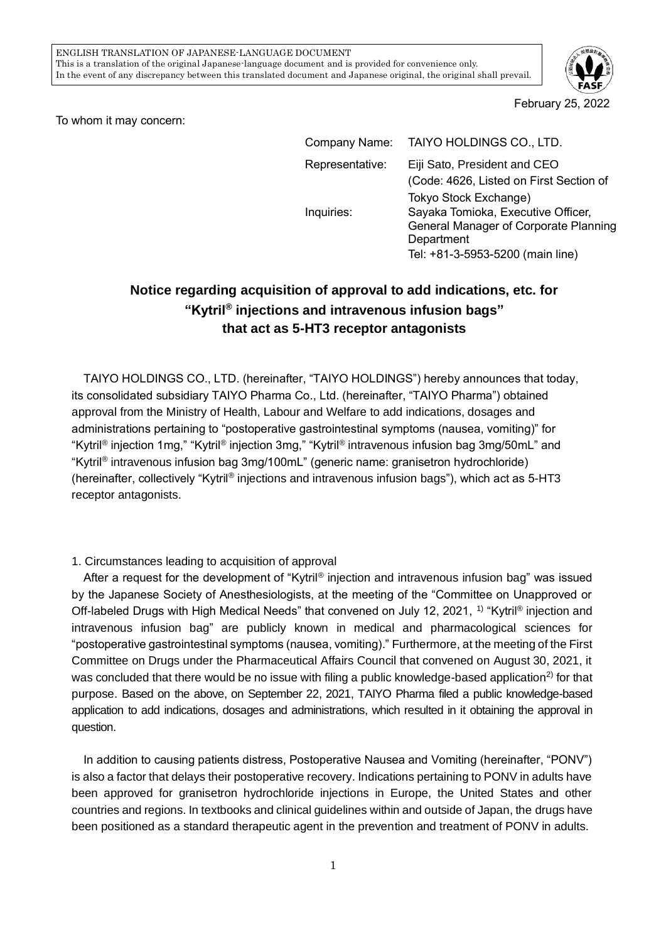

February 25, 2022

To whom it may concern:

| Company Name:   | TAIYO HOLDINGS CO., LTD.                                                                                                      |
|-----------------|-------------------------------------------------------------------------------------------------------------------------------|
| Representative: | Eiji Sato, President and CEO<br>(Code: 4626, Listed on First Section of<br>Tokyo Stock Exchange)                              |
| Inquiries:      | Sayaka Tomioka, Executive Officer,<br>General Manager of Corporate Planning<br>Department<br>Tel: +81-3-5953-5200 (main line) |

## **Notice regarding acquisition of approval to add indications, etc. for "Kytril® injections and intravenous infusion bags" that act as 5-HT3 receptor antagonists**

TAIYO HOLDINGS CO., LTD. (hereinafter, "TAIYO HOLDINGS") hereby announces that today, its consolidated subsidiary TAIYO Pharma Co., Ltd. (hereinafter, "TAIYO Pharma") obtained approval from the Ministry of Health, Labour and Welfare to add indications, dosages and administrations pertaining to "postoperative gastrointestinal symptoms (nausea, vomiting)" for "Kytril® injection 1mg," "Kytril® injection 3mg," "Kytril® intravenous infusion bag 3mg/50mL" and "Kytril® intravenous infusion bag 3mg/100mL" (generic name: granisetron hydrochloride) (hereinafter, collectively "Kytril® injections and intravenous infusion bags"), which act as 5-HT3 receptor antagonists.

## 1. Circumstances leading to acquisition of approval

After a request for the development of "Kytril® injection and intravenous infusion bag" was issued by the Japanese Society of Anesthesiologists, at the meeting of the "Committee on Unapproved or Off-labeled Drugs with High Medical Needs" that convened on July 12, 2021, <sup>1)</sup> "Kytril<sup>®</sup> injection and intravenous infusion bag" are publicly known in medical and pharmacological sciences for "postoperative gastrointestinal symptoms (nausea, vomiting)." Furthermore, at the meeting of the First Committee on Drugs under the Pharmaceutical Affairs Council that convened on August 30, 2021, it was concluded that there would be no issue with filing a public knowledge-based application<sup>2)</sup> for that purpose. Based on the above, on September 22, 2021, TAIYO Pharma filed a public knowledge-based application to add indications, dosages and administrations, which resulted in it obtaining the approval in question.

In addition to causing patients distress, Postoperative Nausea and Vomiting (hereinafter, "PONV") is also a factor that delays their postoperative recovery. Indications pertaining to PONV in adults have been approved for granisetron hydrochloride injections in Europe, the United States and other countries and regions. In textbooks and clinical guidelines within and outside of Japan, the drugs have been positioned as a standard therapeutic agent in the prevention and treatment of PONV in adults.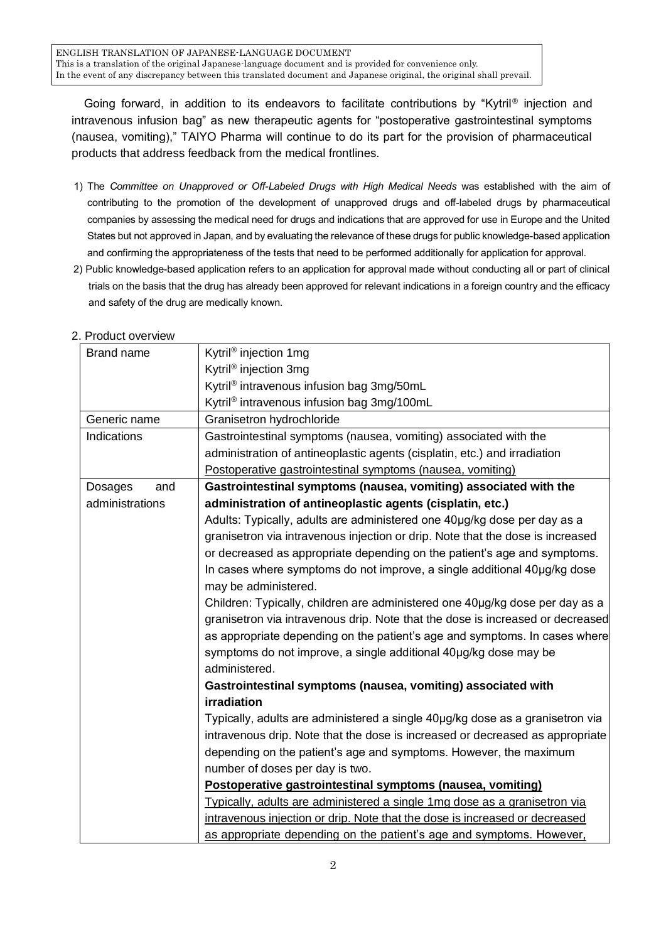ENGLISH TRANSLATION OF JAPANESE-LANGUAGE DOCUMENT This is a translation of the original Japanese-language document and is provided for convenience only. In the event of any discrepancy between this translated document and Japanese original, the original shall prevail.

Going forward, in addition to its endeavors to facilitate contributions by "Kytril® injection and intravenous infusion bag" as new therapeutic agents for "postoperative gastrointestinal symptoms (nausea, vomiting)," TAIYO Pharma will continue to do its part for the provision of pharmaceutical products that address feedback from the medical frontlines.

- 1) The *Committee on Unapproved or Off-Labeled Drugs with High Medical Needs* was established with the aim of contributing to the promotion of the development of unapproved drugs and off-labeled drugs by pharmaceutical companies by assessing the medical need for drugs and indications that are approved for use in Europe and the United States but not approved in Japan, and by evaluating the relevance of these drugs for public knowledge-based application and confirming the appropriateness of the tests that need to be performed additionally for application for approval.
- 2) Public knowledge-based application refers to an application for approval made without conducting all or part of clinical trials on the basis that the drug has already been approved for relevant indications in a foreign country and the efficacy and safety of the drug are medically known.

## 2. Product overview

| Brand name      | Kytril <sup>®</sup> injection 1mg                                              |
|-----------------|--------------------------------------------------------------------------------|
|                 | Kytril <sup>®</sup> injection 3mg                                              |
|                 | Kytril <sup>®</sup> intravenous infusion bag 3mg/50mL                          |
|                 | Kytril <sup>®</sup> intravenous infusion bag 3mg/100mL                         |
| Generic name    | Granisetron hydrochloride                                                      |
| Indications     | Gastrointestinal symptoms (nausea, vomiting) associated with the               |
|                 | administration of antineoplastic agents (cisplatin, etc.) and irradiation      |
|                 | Postoperative gastrointestinal symptoms (nausea, vomiting)                     |
| Dosages<br>and  | Gastrointestinal symptoms (nausea, vomiting) associated with the               |
| administrations | administration of antineoplastic agents (cisplatin, etc.)                      |
|                 | Adults: Typically, adults are administered one 40µg/kg dose per day as a       |
|                 | granisetron via intravenous injection or drip. Note that the dose is increased |
|                 | or decreased as appropriate depending on the patient's age and symptoms.       |
|                 | In cases where symptoms do not improve, a single additional 40µg/kg dose       |
|                 | may be administered.                                                           |
|                 | Children: Typically, children are administered one 40µg/kg dose per day as a   |
|                 | granisetron via intravenous drip. Note that the dose is increased or decreased |
|                 | as appropriate depending on the patient's age and symptoms. In cases where     |
|                 | symptoms do not improve, a single additional 40µg/kg dose may be               |
|                 | administered.                                                                  |
|                 | Gastrointestinal symptoms (nausea, vomiting) associated with                   |
|                 | irradiation                                                                    |
|                 | Typically, adults are administered a single 40µg/kg dose as a granisetron via  |
|                 | intravenous drip. Note that the dose is increased or decreased as appropriate  |
|                 | depending on the patient's age and symptoms. However, the maximum              |
|                 | number of doses per day is two.                                                |
|                 | Postoperative gastrointestinal symptoms (nausea, vomiting)                     |
|                 | Typically, adults are administered a single 1mg dose as a granisetron via      |
|                 | intravenous injection or drip. Note that the dose is increased or decreased    |
|                 | as appropriate depending on the patient's age and symptoms. However,           |